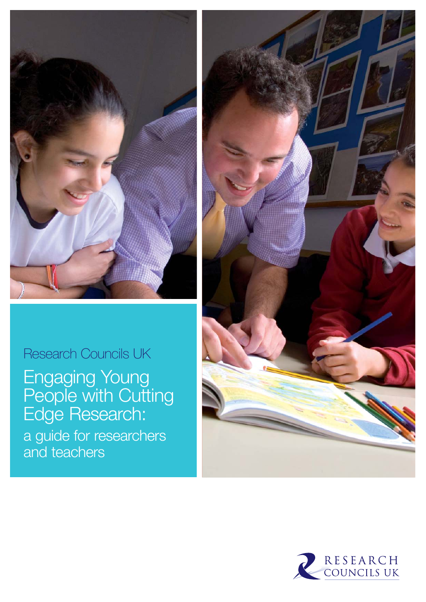

# Research Councils UK

Engaging Young People with Cutting Edge Research: a guide for researchers and teachers



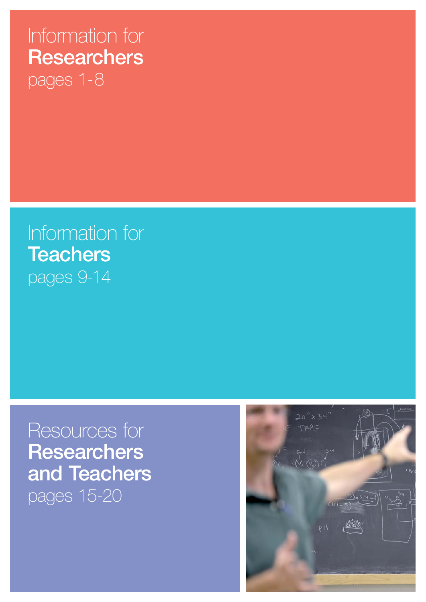# Information for **Researchers** pages 1-8

Information for **Teachers** pages 9-14

# Resources for **Researchers and Teachers**  pages 15-20

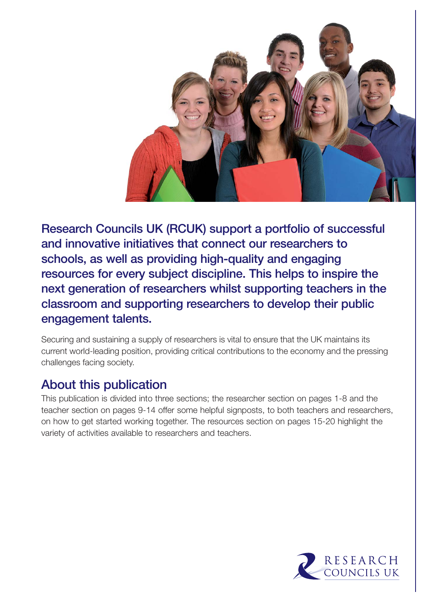

**Research Councils UK (RCUK) support a portfolio of successful and innovative initiatives that connect our researchers to schools, as well as providing high-quality and engaging resources for every subject discipline. This helps to inspire the next generation of researchers whilst supporting teachers in the classroom and supporting researchers to develop their public engagement talents.**

Securing and sustaining a supply of researchers is vital to ensure that the UK maintains its current world-leading position, providing critical contributions to the economy and the pressing challenges facing society.

# **About this publication**

This publication is divided into three sections; the researcher section on pages 1-8 and the teacher section on pages 9-14 offer some helpful signposts, to both teachers and researchers, on how to get started working together. The resources section on pages 15-20 highlight the variety of activities available to researchers and teachers.

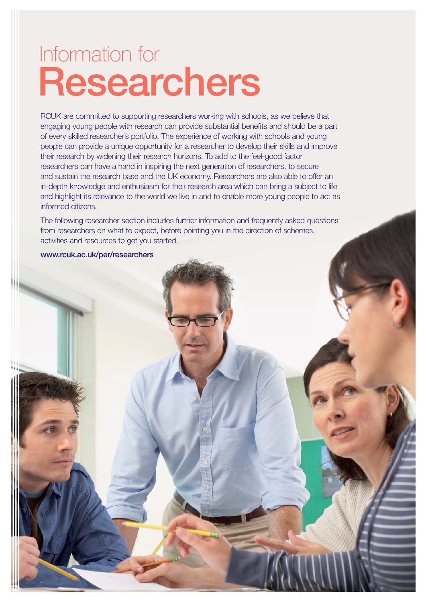# **Researchers** Information for

RCUK are committed to supporting researchers working with schools, as we believe that engaging young people with research can provide substantial benefits and should be a part of every skilled researcher's portfolio. The experience of working with schools and young people can provide a unique opportunity for a researcher to develop their skills and improve their research by widening their research horizons. To add to the feel-good factor researchers can have a hand in inspiring the next generation of researchers, to secure and sustain the research base and the UK economy. Researchers are also able to offer an in-depth knowledge and enthusiasm for their research area which can bring a subject to life and highlight its relevance to the world we live in and to enable more young people to act as informed citizens.

The following researcher section includes further information and frequently asked questions from researchers on what to expect, before pointing you in the direction of schemes, activities and resources to get you started.

**www.rcuk.ac.uk/per/researchers**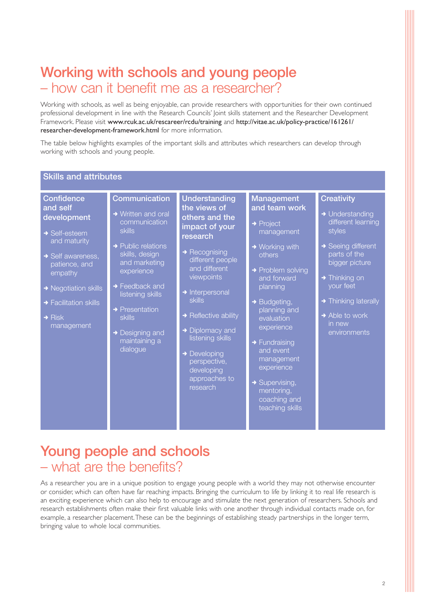# **Working with schools and young people**  – how can it benefit me as a researcher?

Working with schools, as well as being enjoyable, can provide researchers with opportunities for their own continued professional development in line with the Research Councils' Joint skills statement and the Researcher Development Framework. Please visit www.rcuk.ac.uk/rescareer/rcdu/training and http://vitae.ac.uk/policy-practice/161261/ researcher-development-framework.html for more information.

The table below highlights examples of the important skills and attributes which researchers can develop through working with schools and young people.

| <b>Skills and attributes</b>                                                                                                                                                                                                                            |                                                                                                                                                                                                                                                                                                                  |                                                                                                                                                                                                                                                                                                                                                                                        |                                                                                                                                                                                                                                                                                                                                                                                         |                                                                                                                                                                                                                                                        |
|---------------------------------------------------------------------------------------------------------------------------------------------------------------------------------------------------------------------------------------------------------|------------------------------------------------------------------------------------------------------------------------------------------------------------------------------------------------------------------------------------------------------------------------------------------------------------------|----------------------------------------------------------------------------------------------------------------------------------------------------------------------------------------------------------------------------------------------------------------------------------------------------------------------------------------------------------------------------------------|-----------------------------------------------------------------------------------------------------------------------------------------------------------------------------------------------------------------------------------------------------------------------------------------------------------------------------------------------------------------------------------------|--------------------------------------------------------------------------------------------------------------------------------------------------------------------------------------------------------------------------------------------------------|
| <b>Confidence</b><br>and self<br>development<br>$\rightarrow$ Self-esteem<br>and maturity<br>$\rightarrow$ Self awareness,<br>patience, and<br>empathy<br>→ Negotiation skills<br>$\rightarrow$ Facilitation skills<br>$\rightarrow$ Risk<br>management | <b>Communication</b><br>→ Written and oral<br>communication<br><b>skills</b><br>$\rightarrow$ Public relations<br>skills, design<br>and marketing<br>experience<br>$\rightarrow$ Feedback and<br>listening skills<br>$\rightarrow$ Presentation<br><b>skills</b><br>→ Designing and<br>maintaining a<br>dialogue | <b>Understanding</b><br>the views of<br>others and the<br>impact of your<br>research<br>$\rightarrow$ Recognising<br>different people<br>and different<br>viewpoints<br>$\rightarrow$ Interpersonal<br><b>skills</b><br>$\rightarrow$ Reflective ability<br>→ Diplomacy and<br>listening skills<br>$\rightarrow$ Developing<br>perspective,<br>developing<br>approaches to<br>research | Management<br>and team work<br>$\rightarrow$ Project<br>management<br>$\rightarrow$ Working with<br>others<br>→ Problem solving<br>and forward<br>planning<br>$\rightarrow$ Budgeting,<br>planning and<br>evaluation<br>experience<br>$\rightarrow$ Fundraising<br>and event<br>management<br>experience<br>$\rightarrow$ Supervising,<br>mentoring,<br>coaching and<br>teaching skills | <b>Creativity</b><br>→ Understanding<br>different learning<br>styles<br>→ Seeing different<br>parts of the<br>bigger picture<br>$\rightarrow$ Thinking on<br>your feet<br>→ Thinking laterally<br>$\rightarrow$ Able to work<br>in new<br>environments |

# **Young people and schools** – what are the benefits?

As a researcher you are in a unique position to engage young people with a world they may not otherwise encounter or consider, which can often have far reaching impacts. Bringing the curriculum to life by linking it to real life research is an exciting experience which can also help to encourage and stimulate the next generation of researchers. Schools and research establishments often make their first valuable links with one another through individual contacts made on, for example, a researcher placement.These can be the beginnings of establishing steady partnerships in the longer term, bringing value to whole local communities.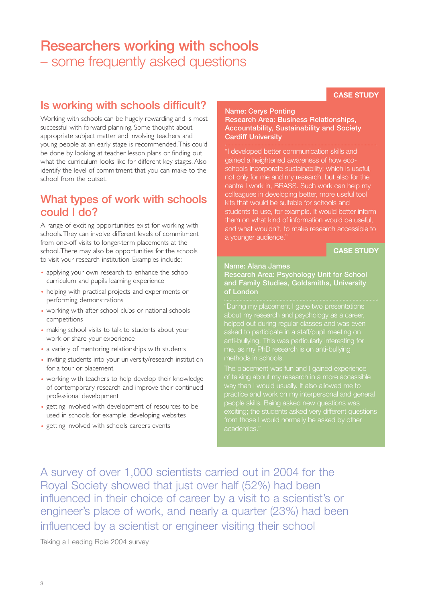## **Researchers working with schools**  – some frequently asked questions

#### **CASE STUDY**

#### **Is working with schools difficult?**

Working with schools can be hugely rewarding and is most successful with forward planning. Some thought about appropriate subject matter and involving teachers and young people at an early stage is recommended.This could be done by looking at teacher lesson plans or finding out what the curriculum looks like for different key stages. Also identify the level of commitment that you can make to the school from the outset.

#### **What types of work with schools could I do?**

A range of exciting opportunities exist for working with schools.They can involve different levels of commitment from one-off visits to longer-term placements at the school.There may also be opportunities for the schools to visit your research institution. Examples include:

- applying your own research to enhance the school curriculum and pupils learning experience
- helping with practical projects and experiments or performing demonstrations
- working with after school clubs or national schools competitions
- making school visits to talk to students about your work or share your experience
- a variety of mentoring relationships with students
- inviting students into your university/research institution for a tour or placement
- working with teachers to help develop their knowledge of contemporary research and improve their continued professional development
- getting involved with development of resources to be used in schools, for example, developing websites
- getting involved with schools careers events

#### **Name: Cerys Ponting Research Area: Business Relationships, Accountability, Sustainability and Society Cardiff University**

"I developed better communication skills and gained a heightened awareness of how ecoschools incorporate sustainability; which is useful, not only for me and my research, but also for the centre I work in, BRASS. Such work can help my colleagues in developing better, more useful tool kits that would be suitable for schools and students to use, for example. It would better inform them on what kind of information would be useful, and what wouldn't, to make research accessible to a younger audience."

**CASE STUDY**

#### **Name: Alana James**

**Research Area: Psychology Unit for School and Family Studies, Goldsmiths, University of London**

about my research and psychology as a career, helped out during regular classes and was even asked to participate in a staff/pupil meeting on anti-bullying. This was particularly interesting for me, as my PhD research is on anti-bullying

The placement was fun and I gained experience of talking about my research in a more acce practice and work on my interpersonal and general people skills. Being asked new questions was exciting; the students asked very different questions from those I would normally be asked by other academics.

A survey of over 1,000 scientists carried out in 2004 for the Royal Society showed that just over half (52%) had been influenced in their choice of career by a visit to a scientist's or engineer's place of work, and nearly a quarter (23%) had been influenced by a scientist or engineer visiting their school

Taking a Leading Role 2004 survey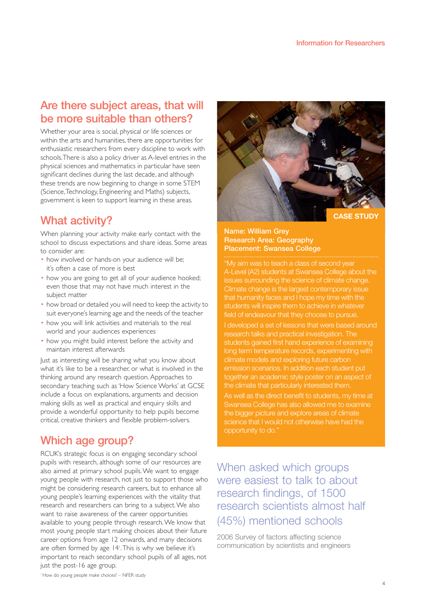#### **Are there subject areas, that will be more suitable than others?**

Whether your area is social, physical or life sciences or within the arts and humanities, there are opportunities for enthusiastic researchers from every discipline to work with schools.There is also a policy driver as A-level entries in the physical sciences and mathematics in particular have seen significant declines during the last decade, and although these trends are now beginning to change in some STEM (Science,Technology, Engineering and Maths) subjects, government is keen to support learning in these areas.

#### **What activity?**

When planning your activity make early contact with the school to discuss expectations and share ideas. Some areas to consider are:

- how involved or hands-on your audience will be; it's often a case of more is best
- how you are going to get all of your audience hooked; even those that may not have much interest in the subject matter
- how broad or detailed you will need to keep the activity to suit everyone's learning age and the needs of the teacher
- how you will link activities and materials to the real world and your audiences experiences
- how you might build interest before the activity and maintain interest afterwards

Just as interesting will be sharing what you know about what it's like to be a researcher, or what is involved in the thinking around any research question. Approaches to secondary teaching such as 'How Science Works' at GCSE include a focus on explanations, arguments and decision making skills as well as practical and enquiry skills and provide a wonderful opportunity to help pupils become critical, creative thinkers and flexible problem-solvers.

#### **Which age group?**

RCUK's strategic focus is on engaging secondary school pupils with research, although some of our resources are also aimed at primary school pupils.We want to engage young people with research, not just to support those who might be considering research careers, but to enhance all young people's learning experiences with the vitality that research and researchers can bring to a subject.We also want to raise awareness of the career opportunities available to young people through research.We know that most young people start making choices about their future career options from age 12 onwards, and many decisions are often formed by age 14'. This is why we believe it's important to reach secondary school pupils of all ages, not just the post-16 age group.



#### **Name: William Grey Research Area: Geography Placement: Swansea College**

"My aim was to teach a class of second year A-Level (A2) students at Swansea College about the issues surrounding the science of climate change. Climate change is the largest contemporary issue that humanity faces and I hope my time with the students will inspire them to achieve in whatever field of endeavour that they choose to pursue.

I developed a set of lessons that were based around research talks and practical investigation. The students gained first hand experience of examining long term temperature records, experimenting with climate models and exploring future carbon emission scenarios. In addition each student put together an academic style poster on an aspect of the climate that particularly interested them.

As well as the direct benefit to students, my time at Swansea College has also allowed me to examine the bigger picture and explore areas of climate science that I would not otherwise have had the opportunity to do."

### When asked which groups were easiest to talk to about research findings, of 1500 research scientists almost half (45%) mentioned schools

2006 Survey of factors affecting science communication by scientists and engineers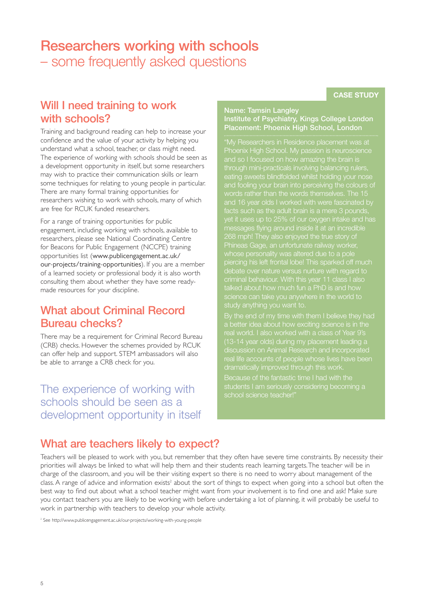## **Researchers working with schools**  – some frequently asked questions

#### **CASE STUDY**

#### **Will I need training to work with schools?**

Training and background reading can help to increase your confidence and the value of your activity by helping you understand what a school, teacher, or class might need. The experience of working with schools should be seen as a development opportunity in itself, but some researchers may wish to practice their communication skills or learn some techniques for relating to young people in particular. There are many formal training opportunities for researchers wishing to work with schools, many of which are free for RCUK funded researchers.

For a range of training opportunities for public engagement, including working with schools, available to researchers, please see National Coordinating Centre for Beacons for Public Engagement (NCCPE) training opportunities list (www.publicengagement.ac.uk/ our-projects/training-opportunities). If you are a member of a learned society or professional body it is also worth consulting them about whether they have some readymade resources for your discipline.

### **What about Criminal Record Bureau checks?**

There may be a requirement for Criminal Record Bureau (CRB) checks. However the schemes provided by RCUK can offer help and support. STEM ambassadors will also be able to arrange a CRB check for you.

The experience of working with schools should be seen as a development opportunity in itself

#### **Name: Tamsin Langley Institute of Psychiatry, Kings College London Placement: Phoenix High School, London**

"My Researchers in Residence placement was at Phoenix High School. My passion is neuroscience and so I focused on how amazing the brain is through mini-practicals involving balancing rulers, eating sweets blindfolded whilst holding your nose and 16 year olds I worked with were fascinated by facts such as the adult brain is a mere 3 pounds, yet it uses up to 25% of our oxygen intake and has messages flying around inside it at an incredible Phineas Gage, an unfortunate railway worker, piercing his left frontal lobe! This sparked off much debate over nature versus nurture with regard to criminal behaviour. With this year 11 class I also talked about how much fun a PhD is and how

discussion on Animal Research and incorporated real life accounts of people whose lives have been dramatically improved through this work.

school science teacher!"

#### **What are teachers likely to expect?**

Teachers will be pleased to work with you, but remember that they often have severe time constraints. By necessity their priorities will always be linked to what will help them and their students reach learning targets.The teacher will be in charge of the classroom, and you will be their visiting expert so there is no need to worry about management of the class. A range of advice and information exists<sup>2</sup> about the sort of things to expect when going into a school but often the best way to find out about what a school teacher might want from your involvement is to find one and ask! Make sure you contact teachers you are likely to be working with before undertaking a lot of planning, it will probably be useful to work in partnership with teachers to develop your whole activity.

<sup>2</sup> See http://www.publicengagement.ac.uk/our-projects/working-with-young-people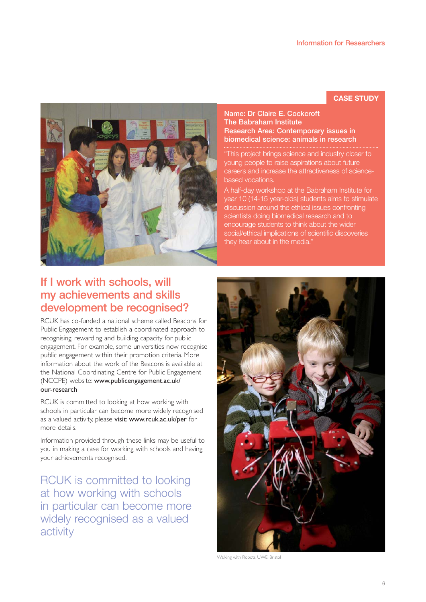#### **CASE STUDY**



**Name: Dr Claire E. Cockcroft The Babraham Institute Research Area: Contemporary issues in biomedical science: animals in research**

"This project brings science and industry closer to young people to raise aspirations about future careers and increase the attractiveness of sciencebased vocations.

A half-day workshop at the Babraham Institute for year 10 (14-15 year-olds) students aims to stimulate discussion around the ethical issues confronting scientists doing biomedical research and to encourage students to think about the wider social/ethical implications of scientific discoveries they hear about in the media."

### **If I work with schools, will my achievements and skills development be recognised?**

RCUK has co-funded a national scheme called Beacons for Public Engagement to establish a coordinated approach to recognising, rewarding and building capacity for public engagement. For example, some universities now recognise public engagement within their promotion criteria. More information about the work of the Beacons is available at the National Coordinating Centre for Public Engagement (NCCPE) website: www.publicengagement.ac.uk/ our-research

RCUK is committed to looking at how working with schools in particular can become more widely recognised as a valued activity, please visit: www.rcuk.ac.uk/per for more details.

Information provided through these links may be useful to you in making a case for working with schools and having your achievements recognised.

RCUK is committed to looking at how working with schools in particular can become more widely recognised as a valued activity



Walking with Robots, UWE, Bristol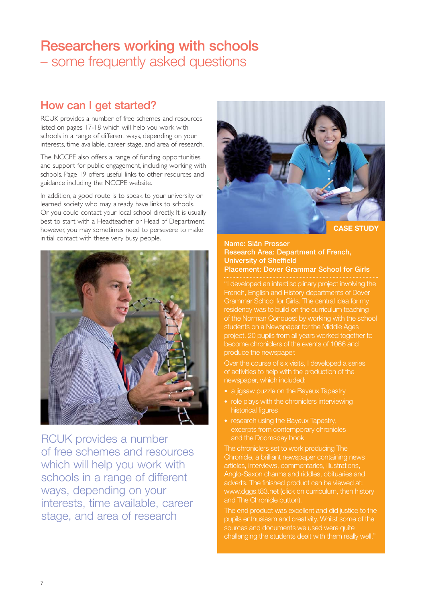# **Researchers working with schools**  – some frequently asked questions

## **How can I get started?**

RCUK provides a number of free schemes and resources listed on pages 17-18 which will help you work with schools in a range of different ways, depending on your interests, time available, career stage, and area of research.

The NCCPE also offers a range of funding opportunities and support for public engagement, including working with schools. Page 19 offers useful links to other resources and guidance including the NCCPE website.

In addition, a good route is to speak to your university or learned society who may already have links to schools. Or you could contact your local school directly. It is usually best to start with a Headteacher or Head of Department, however, you may sometimes need to persevere to make initial contact with these very busy people. **Name: Siân Prosser** 



RCUK provides a number of free schemes and resources which will help you work with schools in a range of different ways, depending on your interests, time available, career stage, and area of research



#### **Research Area: Department of French, University of Sheffield Placement: Dover Grammar School for Girls**

"I developed an interdisciplinary project involving the French, English and History departments of Dover Grammar School for Girls. The central idea for my residency was to build on the curriculum teaching of the Norman Conquest by working with the school students on a Newspaper for the Middle Ages project. 20 pupils from all years worked together to become chroniclers of the events of 1066 and produce the newspaper.

Over the course of six visits, I developed a series of activities to help with the production of the newspaper, which included:

- a jigsaw puzzle on the Bayeux Tapestry
- role plays with the chroniclers interviewing historical figures
- research using the Bayeux Tapestry, excerpts from contemporary chronicles and the Doomsday book

The chroniclers set to work producing The Chronicle, a brilliant newspaper containing news articles, interviews, commentaries, illustrations, Anglo-Saxon charms and riddles, obituaries and adverts. The finished product can be viewed at: www.dggs.t83.net (click on curriculum, then history and The Chronicle button).

The end product was excellent and did justice to the pupils enthusiasm and creativity. Whilst some of the sources and documents we used were quite challenging the students dealt with them really well."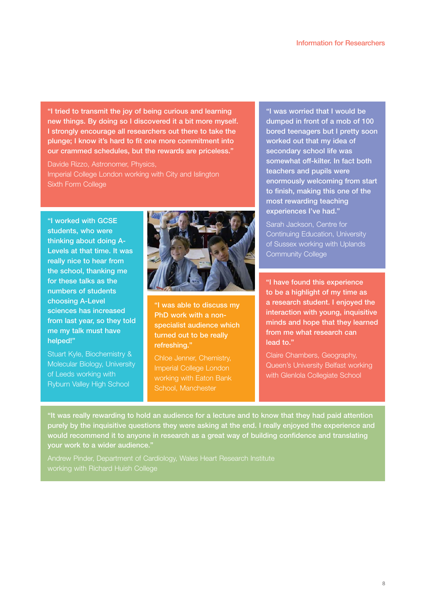**"I tried to transmit the joy of being curious and learning new things. By doing so I discovered it a bit more myself. I strongly encourage all researchers out there to take the plunge; I know it's hard to fit one more commitment into our crammed schedules, but the rewards are priceless."**

Davide Rizzo, Astronomer, Physics, Imperial College London working with City and Islington Sixth Form College

**"I worked with GCSE students, who were thinking about doing A-Levels at that time. It was really nice to hear from the school, thanking me for these talks as the numbers of students choosing A-Level sciences has increased from last year, so they told me my talk must have helped!"**

Stuart Kyle, Biochemistry & Molecular Biology, University of Leeds working with Ryburn Valley High School



**"I was able to discuss my PhD work with a nonspecialist audience which turned out to be really refreshing."**

Chloe Jenner, Chemistry, Imperial College London working with Eaton Bank School, Manchester

**"I was worried that I would be dumped in front of a mob of 100 bored teenagers but I pretty soon worked out that my idea of secondary school life was somewhat off-kilter. In fact both teachers and pupils were enormously welcoming from start to finish, making this one of the most rewarding teaching experiences I've had."**

Sarah Jackson, Centre for Continuing Education, University of Sussex working with Uplands Community College

**"I have found this experience to be a highlight of my time as a research student. I enjoyed the interaction with young, inquisitive minds and hope that they learned from me what research can lead to."**

Claire Chambers, Geography, Queen's University Belfast working with Glenlola Collegiate School

**"It was really rewarding to hold an audience for a lecture and to know that they had paid attention purely by the inquisitive questions they were asking at the end. I really enjoyed the experience and would recommend it to anyone in research as a great way of building confidence and translating your work to a wider audience."**

Andrew Pinder, Department of Cardiology, Wales Heart Research Institute working with Richard Huish College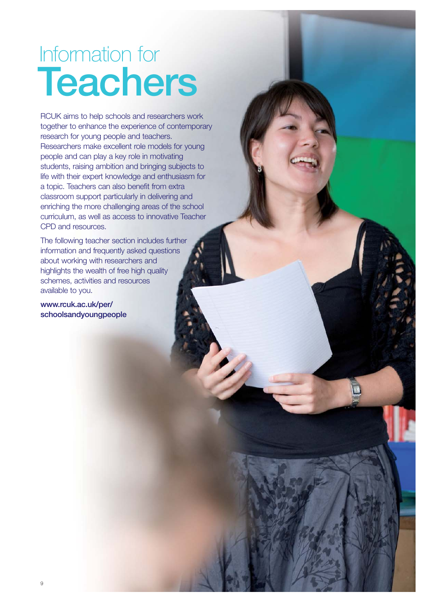# **Teachers** Information for

RCUK aims to help schools and researchers work together to enhance the experience of contemporary research for young people and teachers. Researchers make excellent role models for young people and can play a key role in motivating students, raising ambition and bringing subjects to life with their expert knowledge and enthusiasm for a topic. Teachers can also benefit from extra classroom support particularly in delivering and enriching the more challenging areas of the school curriculum, as well as access to innovative Teacher CPD and resources.

The following teacher section includes further information and frequently asked questions about working with researchers and highlights the wealth of free high quality schemes, activities and resources available to you.

**www.rcuk.ac.uk/per/ schoolsandyoungpeople**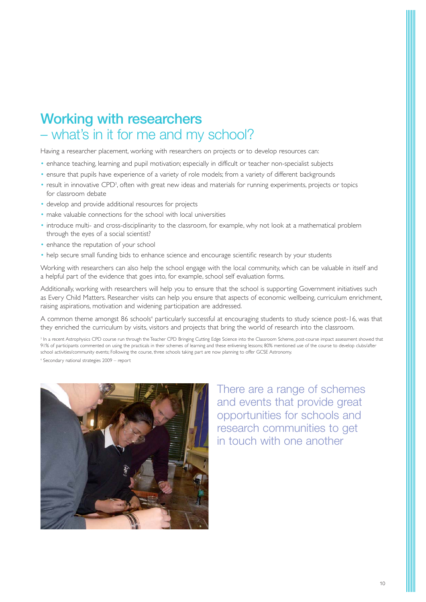# **Working with researchers** – what's in it for me and my school?

Having a researcher placement, working with researchers on projects or to develop resources can:

- enhance teaching, learning and pupil motivation; especially in difficult or teacher non-specialist subjects
- ensure that pupils have experience of a variety of role models; from a variety of different backgrounds
- result in innovative CPD<sup>3</sup>, often with great new ideas and materials for running experiments, projects or topics for classroom debate
- develop and provide additional resources for projects
- make valuable connections for the school with local universities
- introduce multi- and cross-disciplinarity to the classroom, for example, why not look at a mathematical problem through the eyes of a social scientist?
- enhance the reputation of your school
- help secure small funding bids to enhance science and encourage scientific research by your students

Working with researchers can also help the school engage with the local community, which can be valuable in itself and a helpful part of the evidence that goes into, for example, school self evaluation forms.

Additionally, working with researchers will help you to ensure that the school is supporting Government initiatives such as Every Child Matters. Researcher visits can help you ensure that aspects of economic wellbeing, curriculum enrichment, raising aspirations, motivation and widening participation are addressed.

A common theme amongst 86 schools<sup>4</sup> particularly successful at encouraging students to study science post-16, was that they enriched the curriculum by visits, visitors and projects that bring the world of research into the classroom.

<sup>3</sup> In a recent Astrophysics CPD course run through the Teacher CPD Bringing Cutting Edge Science into the Classroom Scheme, post-course impact assessment showed that 91% of participants commented on using the practicals in their schemes of learning and these enlivening lessons; 80% mentioned use of the course to develop clubs/after school activities/community events; Following the course, three schools taking part are now planning to offer GCSE Astronomy.

<sup>4</sup> Secondary national strategies 2009 – report



There are a range of schemes and events that provide great opportunities for schools and research communities to get in touch with one another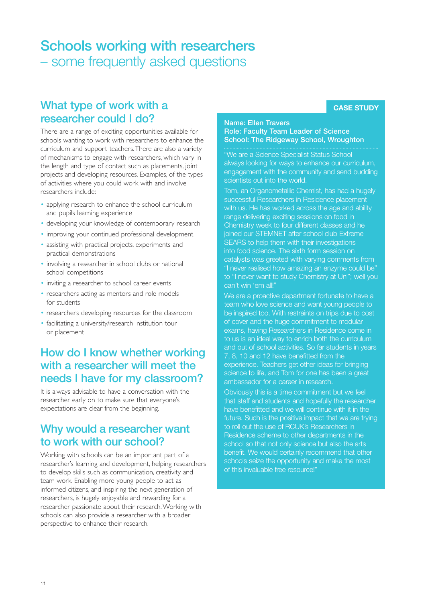## **Schools working with researchers** – some frequently asked questions

#### **What type of work with a researcher could I do?**

There are a range of exciting opportunities available for schools wanting to work with researchers to enhance the curriculum and support teachers.There are also a variety of mechanisms to engage with researchers, which vary in the length and type of contact such as placements, joint projects and developing resources. Examples, of the types of activities where you could work with and involve researchers include:

- applying research to enhance the school curriculum and pupils learning experience
- developing your knowledge of contemporary research
- improving your continued professional development
- assisting with practical projects, experiments and practical demonstrations
- involving a researcher in school clubs or national school competitions
- inviting a researcher to school career events
- researchers acting as mentors and role models for students
- researchers developing resources for the classroom
- facilitating a university/research institution tour or placement

#### **How do I know whether working with a researcher will meet the needs I have for my classroom?**

It is always advisable to have a conversation with the researcher early on to make sure that everyone's expectations are clear from the beginning.

#### **Why would a researcher want to work with our school?**

Working with schools can be an important part of a researcher's learning and development, helping researchers to develop skills such as communication, creativity and team work. Enabling more young people to act as informed citizens, and inspiring the next generation of researchers, is hugely enjoyable and rewarding for a researcher passionate about their research.Working with schools can also provide a researcher with a broader perspective to enhance their research.

#### **Name: Ellen Travers Role: Faculty Team Leader of Science School: The Ridgeway School, Wroughton**

"We are a Science Specialist Status School always looking for ways to enhance our curriculum, engagement with the community and send budding scientists out into the world.

Tom, an Organometallic Chemist, has had a hugely successful Researchers in Residence placement with us. He has worked across the age and ability range delivering exciting sessions on food in Chemistry week to four different classes and he joined our STEMNET after school club Extreme SEARS to help them with their investigations into food science. The sixth form session on catalysts was greeted with varying comments from "I never realised how amazing an enzyme could be" to "I never want to study Chemistry at Uni"; well you can't win 'em all!"

We are a proactive department fortunate to have a team who love science and want young people to be inspired too. With restraints on trips due to cost of cover and the huge commitment to modular exams, having Researchers in Residence come in to us is an ideal way to enrich both the curriculum and out of school activities. So far students in years 7, 8, 10 and 12 have benefitted from the experience. Teachers get other ideas for bringing science to life, and Tom for one has been a great ambassador for a career in research.

Obviously this is a time commitment but we feel that staff and students and hopefully the researcher have benefitted and we will continue with it in the future. Such is the positive impact that we are trying to roll out the use of RCUK's Researchers in Residence scheme to other departments in the school so that not only science but also the arts benefit. We would certainly recommend that other schools seize the opportunity and make the most of this invaluable free resource!"

#### **CASE STUDY**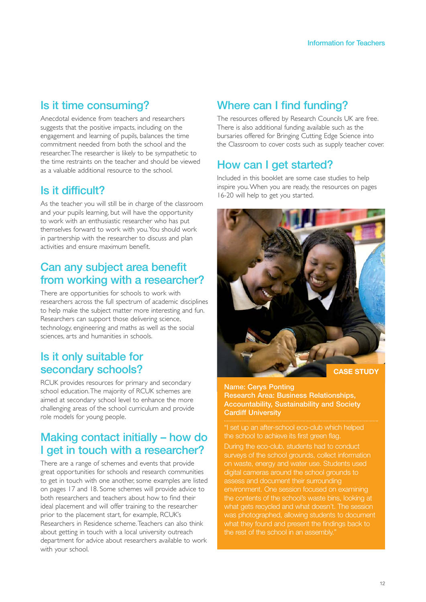### **Is it time consuming?**

Anecdotal evidence from teachers and researchers suggests that the positive impacts, including on the engagement and learning of pupils, balances the time commitment needed from both the school and the researcher.The researcher is likely to be sympathetic to the time restraints on the teacher and should be viewed as a valuable additional resource to the school.

## **Is it difficult?**

As the teacher you will still be in charge of the classroom and your pupils learning, but will have the opportunity to work with an enthusiastic researcher who has put themselves forward to work with you.You should work in partnership with the researcher to discuss and plan activities and ensure maximum benefit.

#### **Can any subject area benefit from working with a researcher?**

There are opportunities for schools to work with researchers across the full spectrum of academic disciplines to help make the subject matter more interesting and fun. Researchers can support those delivering science, technology, engineering and maths as well as the social sciences, arts and humanities in schools.

#### **Is it only suitable for secondary schools?**

RCUK provides resources for primary and secondary school education.The majority of RCUK schemes are aimed at secondary school level to enhance the more challenging areas of the school curriculum and provide role models for young people.

### **Making contact initially – how do I get in touch with a researcher?**

There are a range of schemes and events that provide great opportunities for schools and research communities to get in touch with one another, some examples are listed on pages 17 and 18. Some schemes will provide advice to both researchers and teachers about how to find their ideal placement and will offer training to the researcher prior to the placement start, for example, RCUK's Researchers in Residence scheme.Teachers can also think about getting in touch with a local university outreach department for advice about researchers available to work with your school.

## **Where can I find funding?**

The resources offered by Research Councils UK are free. There is also additional funding available such as the bursaries offered for Bringing Cutting Edge Science into the Classroom to cover costs such as supply teacher cover.

## **How can I get started?**

Included in this booklet are some case studies to help inspire you.When you are ready, the resources on pages 16-20 will help to get you started.



**Name: Cerys Ponting Research Area: Business Relationships, Accountability, Sustainability and Society Cardiff University**

"I set up an after-school eco-club which helped the school to achieve its first green flag.

During the eco-club, students had to conduct surveys of the school grounds, collect information on waste, energy and water use. Students used digital cameras around the school grounds to assess and document their surrounding environment. One session focused on examining the contents of the school's waste bins, looking at what gets recycled and what doesn't. The session was photographed, allowing students to document what they found and present the findings back to the rest of the school in an assembly."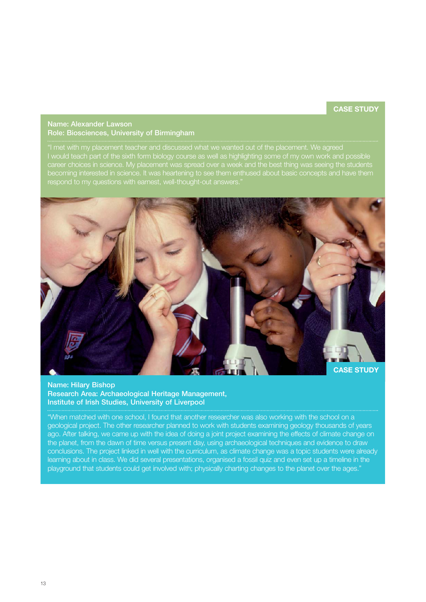#### **CASE STUDY**

#### **Name: Alexander Lawson Role: Biosciences, University of Birmingham**

"I met with my placement teacher and discussed what we wanted out of the placement. We agreed I would teach part of the sixth form biology course as well as highlighting some of my own work and possible becoming interested in science. It was heartening to see them enthused about basic concepts and have them respond to my questions with earnest, well-thought-out answers."



#### **Name: Hilary Bishop**

**Research Area: Archaeological Heritage Management, Institute of Irish Studies, University of Liverpool** 

"When matched with one school, I found that another researcher was also working with the school on a geological project. The other researcher planned to work with students examining geology thousands of years ago. After talking, we came up with the idea of doing a joint project examining the effects of climate change on the planet, from the dawn of time versus present day, using archaeological techniques and evidence to draw conclusions. The project linked in well with the curriculum, as climate change was a topic students were already learning about in class. We did several presentations, organised a fossil quiz and even set up a timeline in the playground that students could get involved with; physically charting changes to the planet over the ages."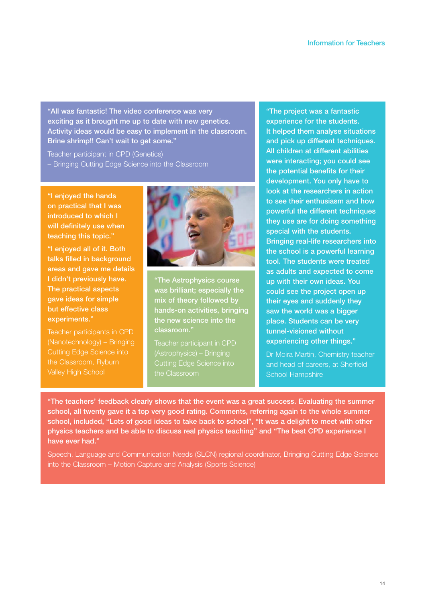**"All was fantastic! The video conference was very exciting as it brought me up to date with new genetics. Activity ideas would be easy to implement in the classroom. Brine shrimp!! Can't wait to get some."**

Teacher participant in CPD (Genetics) – Bringing Cutting Edge Science into the Classroom

**"I enjoyed the hands on practical that I was introduced to which I will definitely use when teaching this topic."**

**"I enjoyed all of it. Both talks filled in background areas and gave me details I didn't previously have. The practical aspects gave ideas for simple but effective class experiments."**

Teacher participants in CPD (Nanotechnology) – Bringing Cutting Edge Science into the Classroom, Ryburn Valley High School



**"The Astrophysics course was brilliant; especially the mix of theory followed by hands-on activities, bringing the new science into the classroom."**

Teacher participant in CPD (Astrophysics) – Bringing Cutting Edge Science into

**"The project was a fantastic experience for the students. It helped them analyse situations and pick up different techniques. All children at different abilities were interacting; you could see the potential benefits for their development. You only have to look at the researchers in action to see their enthusiasm and how powerful the different techniques they use are for doing something special with the students. Bringing real-life researchers into the school is a powerful learning tool. The students were treated as adults and expected to come up with their own ideas. You could see the project open up their eyes and suddenly they saw the world was a bigger place. Students can be very tunnel-visioned without experiencing other things."**

Dr Moira Martin, Chemistry teacher and head of careers, at Sherfield School Hampshire

**"The teachers' feedback clearly shows that the event was a great success. Evaluating the summer school, all twenty gave it a top very good rating. Comments, referring again to the whole summer school, included, "Lots of good ideas to take back to school", "It was a delight to meet with other physics teachers and be able to discuss real physics teaching" and "The best CPD experience I have ever had."**

Speech, Language and Communication Needs (SLCN) regional coordinator, Bringing Cutting Edge Science into the Classroom – Motion Capture and Analysis (Sports Science)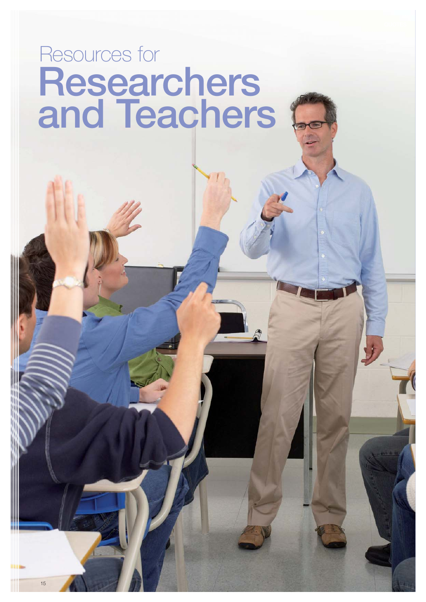# **Researchers and Teachers** Resources for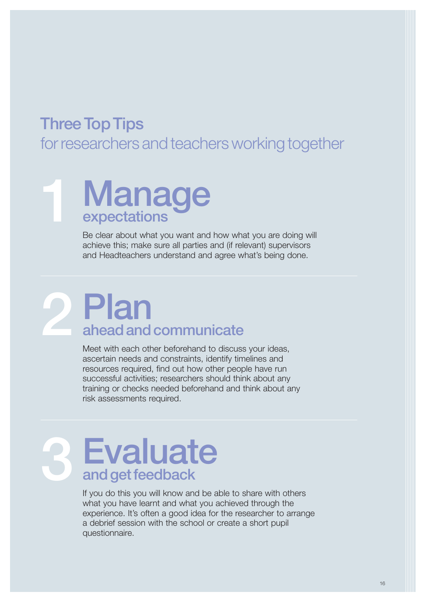# **Three Top Tips**

for researchers and teachers working together

# **Manage expectations 1**

Be clear about what you want and how what you are doing will achieve this; make sure all parties and (if relevant) supervisors and Headteachers understand and agree what's being done.

# **2 Plan ahead and communicate**

Meet with each other beforehand to discuss your ideas, ascertain needs and constraints, identify timelines and resources required, find out how other people have run successful activities; researchers should think about any training or checks needed beforehand and think about any risk assessments required.

# **3 Evaluate and get feedback**

If you do this you will know and be able to share with others what you have learnt and what you achieved through the experience. It's often a good idea for the researcher to arrange a debrief session with the school or create a short pupil questionnaire.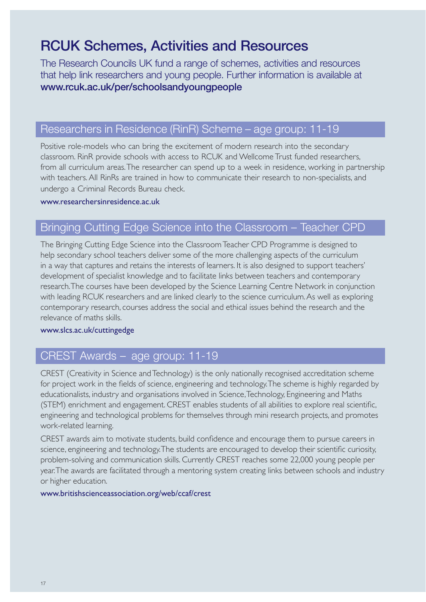# **RCUK Schemes, Activities and Resources**

The Research Councils UK fund a range of schemes, activities and resources that help link researchers and young people. Further information is available at **www.rcuk.ac.uk/per/schoolsandyoungpeople**

#### Researchers in Residence (RinR) Scheme – age group: 11-19

Positive role-models who can bring the excitement of modern research into the secondary classroom. RinR provide schools with access to RCUK and Wellcome Trust funded researchers, from all curriculum areas.The researcher can spend up to a week in residence, working in partnership with teachers. All RinRs are trained in how to communicate their research to non-specialists, and undergo a Criminal Records Bureau check.

#### www.researchersinresidence.ac.uk

#### Bringing Cutting Edge Science into the Classroom – Teacher CPD

The Bringing Cutting Edge Science into the Classroom Teacher CPD Programme is designed to help secondary school teachers deliver some of the more challenging aspects of the curriculum in a way that captures and retains the interests of learners. It is also designed to support teachers' development of specialist knowledge and to facilitate links between teachers and contemporary research.The courses have been developed by the Science Learning Centre Network in conjunction with leading RCUK researchers and are linked clearly to the science curriculum. As well as exploring contemporary research, courses address the social and ethical issues behind the research and the relevance of maths skills.

#### www.slcs.ac.uk/cuttingedge

### CREST Awards – age group: 11-19

CREST (Creativity in Science and Technology) is the only nationally recognised accreditation scheme for project work in the fields of science, engineering and technology.The scheme is highly regarded by educationalists, industry and organisations involved in Science,Technology, Engineering and Maths (STEM) enrichment and engagement. CREST enables students of all abilities to explore real scientific, engineering and technological problems for themselves through mini research projects, and promotes work-related learning.

CREST awards aim to motivate students, build confidence and encourage them to pursue careers in science, engineering and technology.The students are encouraged to develop their scientific curiosity, problem-solving and communication skills. Currently CREST reaches some 22,000 young people per year.The awards are facilitated through a mentoring system creating links between schools and industry or higher education.

#### www.britishscienceassociation.org/web/ccaf/crest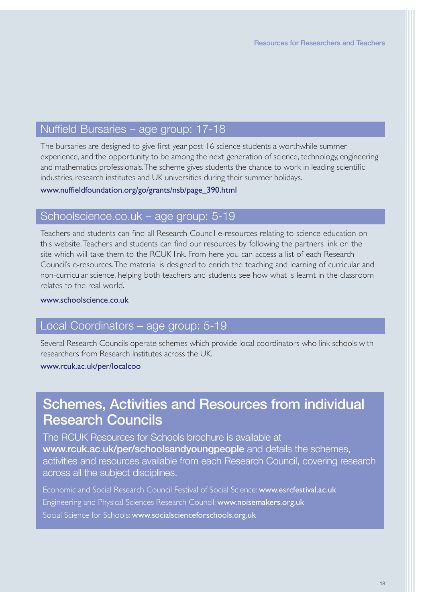#### Nuffield Bursaries – age group: 17-18

The bursaries are designed to give first year post 16 science students a worthwhile summer experience, and the opportunity to be among the next generation of science, technology, engineering and mathematics professionals.The scheme gives students the chance to work in leading scientific industries, research institutes and UK universities during their summer holidays.

www.nuffieldfoundation.org/go/grants/nsb/page\_390.html

#### Schoolscience.co.uk – age group: 5-19

Teachers and students can find all Research Council e-resources relating to science education on this website.Teachers and students can find our resources by following the partners link on the site which will take them to the RCUK link. From here you can access a list of each Research Council's e-resources.The material is designed to enrich the teaching and learning of curricular and non-curricular science, helping both teachers and students see how what is learnt in the classroom relates to the real world.

#### www.schoolscience.co.uk

#### Local Coordinators – age group: 5-19

Several Research Councils operate schemes which provide local coordinators who link schools with researchers from Research Institutes across the UK.

#### www.rcuk.ac.uk/per/localcoo

# **Schemes, Activities and Resources from individual Research Councils**

The RCUK Resources for Schools brochure is available at **www.rcuk.ac.uk/per/schoolsandyoungpeople** and details the schemes, activities and resources available from each Research Council, covering research across all the subject disciplines.

Economic and Social Research Council Festival of Social Science: www.esrcfestival.ac.uk Engineering and Physical Sciences Research Council: www.noisemakers.org.uk Social Science for Schools: www.socialscienceforschools.org.uk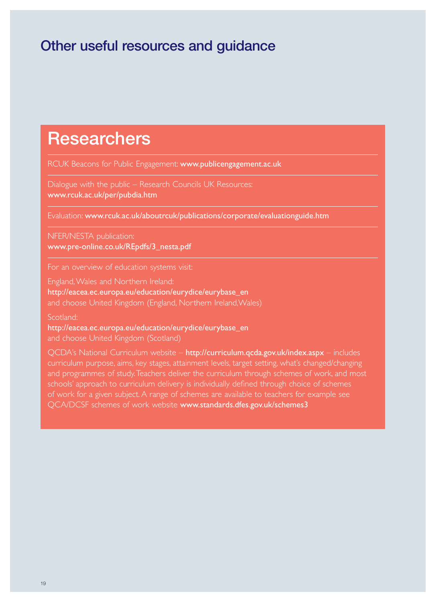# **Other useful resources and guidance**

# **Researchers**

RCUK Beacons for Public Engagement: www.publicengagement.ac.uk

Dialogue with the public – Research Councils UK Resources: www.rcuk.ac.uk/per/pubdia.htm

Evaluation: www.rcuk.ac.uk/aboutrcuk/publications/corporate/evaluationguide.htm

NFER/NESTA publication: www.pre-online.co.uk/REpdfs/3\_nesta.pdf

For an overview of education systems visit:

England,Wales and Northern Ireland: http://eacea.ec.europa.eu/education/eurydice/eurybase\_en and choose United Kingdom (England, Northern Ireland,Wales)

Scotland:

http://eacea.ec.europa.eu/education/eurydice/eurybase\_en and choose United Kingdom (Scotland)

QCDA's National Curriculum website - http://curriculum.qcda.gov.uk/index.aspx - includes curriculum purpose, aims, key stages, attainment levels, target setting, what's changed/changing and programmes of study.Teachers deliver the curriculum through schemes of work, and most schools' approach to curriculum delivery is individually defined through choice of schemes of work for a given subject. A range of schemes are available to teachers for example see QCA/DCSF schemes of work website www.standards.dfes.gov.uk/schemes3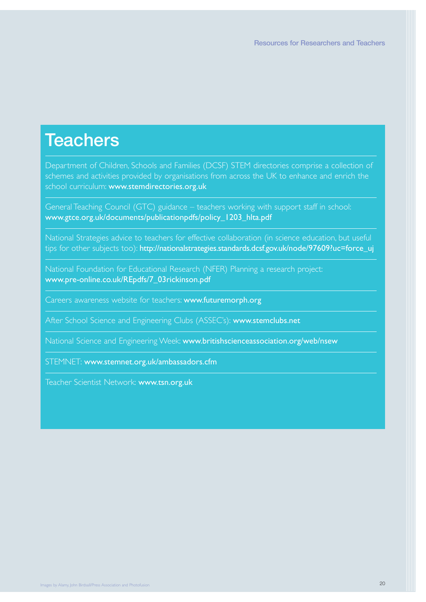# **Teachers**

Department of Children, Schools and Families (DCSF) STEM directories comprise a collection of schemes and activities provided by organisations from across the UK to enhance and enrich the school curriculum: www.stemdirectories.org.uk

General Teaching Council (GTC) guidance – teachers working with support staff in school: www.gtce.org.uk/documents/publicationpdfs/policy\_1203\_hlta.pdf

National Strategies advice to teachers for effective collaboration (in science education, but useful tips for other subjects too): http://nationalstrategies.standards.dcsf.gov.uk/node/97609?uc=force\_uj

National Foundation for Educational Research (NFER) Planning a research project: www.pre-online.co.uk/REpdfs/7\_03rickinson.pdf

Careers awareness website for teachers: www.futuremorph.org

After School Science and Engineering Clubs (ASSEC's): www.stemclubs.net

National Science and Engineering Week: www.britishscienceassociation.org/web/nsew

STEMNET: www.stemnet.org.uk/ambassadors.cfm

Teacher Scientist Network: www.tsn.org.uk